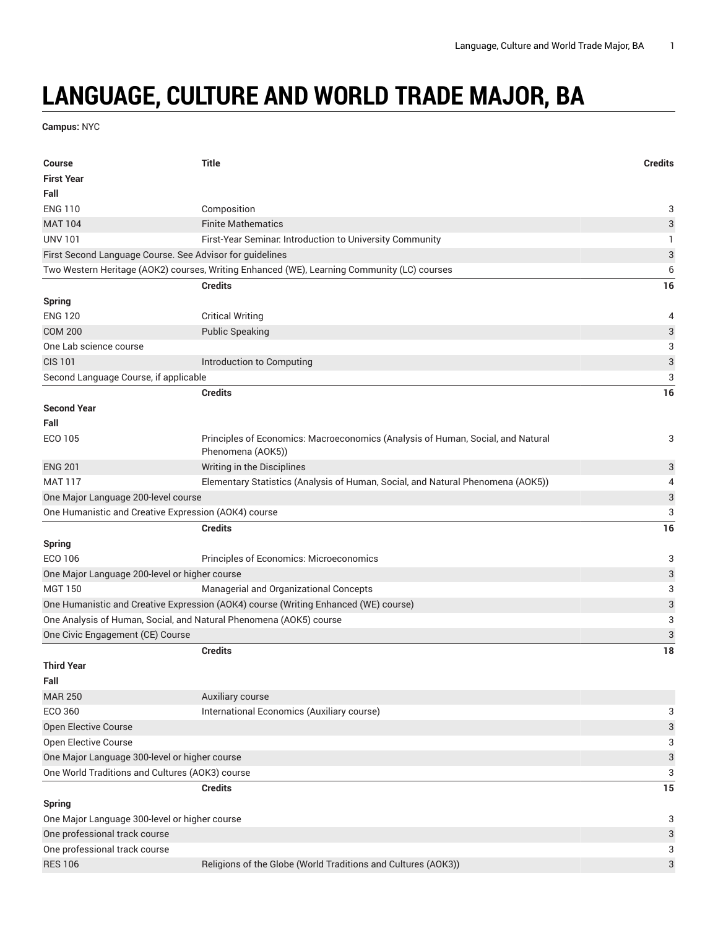## **LANGUAGE, CULTURE AND WORLD TRADE MAJOR, BA**

**Campus:** NYC

| Course                                                             | <b>Title</b>                                                                                         | <b>Credits</b>            |
|--------------------------------------------------------------------|------------------------------------------------------------------------------------------------------|---------------------------|
| <b>First Year</b>                                                  |                                                                                                      |                           |
| Fall                                                               |                                                                                                      |                           |
| <b>ENG 110</b>                                                     | Composition                                                                                          | 3                         |
| <b>MAT 104</b>                                                     | <b>Finite Mathematics</b>                                                                            | 3                         |
| <b>UNV 101</b>                                                     | First-Year Seminar. Introduction to University Community                                             | $\mathbf{1}$              |
| First Second Language Course. See Advisor for guidelines           |                                                                                                      | 3                         |
|                                                                    | Two Western Heritage (AOK2) courses, Writing Enhanced (WE), Learning Community (LC) courses          | 6                         |
|                                                                    | <b>Credits</b>                                                                                       | 16                        |
| <b>Spring</b>                                                      |                                                                                                      |                           |
| <b>ENG 120</b>                                                     | <b>Critical Writing</b>                                                                              | 4                         |
| <b>COM 200</b>                                                     | <b>Public Speaking</b>                                                                               | 3                         |
| One Lab science course                                             |                                                                                                      | 3                         |
| <b>CIS 101</b>                                                     | Introduction to Computing                                                                            | $\ensuremath{\mathsf{3}}$ |
| Second Language Course, if applicable                              |                                                                                                      | 3                         |
|                                                                    | <b>Credits</b>                                                                                       | 16                        |
| <b>Second Year</b>                                                 |                                                                                                      |                           |
| Fall                                                               |                                                                                                      |                           |
| ECO 105                                                            | Principles of Economics: Macroeconomics (Analysis of Human, Social, and Natural<br>Phenomena (AOK5)) | 3                         |
| <b>ENG 201</b>                                                     | Writing in the Disciplines                                                                           | 3                         |
| <b>MAT 117</b>                                                     | Elementary Statistics (Analysis of Human, Social, and Natural Phenomena (AOK5))                      | 4                         |
| One Major Language 200-level course                                |                                                                                                      | 3                         |
| One Humanistic and Creative Expression (AOK4) course               |                                                                                                      | 3                         |
|                                                                    | <b>Credits</b>                                                                                       | 16                        |
| <b>Spring</b>                                                      |                                                                                                      |                           |
| ECO 106                                                            | Principles of Economics: Microeconomics                                                              | 3                         |
| One Major Language 200-level or higher course                      |                                                                                                      | 3                         |
| <b>MGT 150</b>                                                     | Managerial and Organizational Concepts                                                               | 3                         |
|                                                                    | One Humanistic and Creative Expression (AOK4) course (Writing Enhanced (WE) course)                  | 3                         |
| One Analysis of Human, Social, and Natural Phenomena (AOK5) course |                                                                                                      | 3                         |
| One Civic Engagement (CE) Course                                   |                                                                                                      | 3                         |
|                                                                    | <b>Credits</b>                                                                                       | 18                        |
| <b>Third Year</b>                                                  |                                                                                                      |                           |
| Fall                                                               |                                                                                                      |                           |
| <b>MAR 250</b>                                                     | Auxiliary course                                                                                     |                           |
| ECO 360                                                            | International Economics (Auxiliary course)                                                           | 3                         |
| Open Elective Course                                               |                                                                                                      | 3                         |
| Open Elective Course                                               |                                                                                                      | 3                         |
| One Major Language 300-level or higher course                      |                                                                                                      | 3                         |
| One World Traditions and Cultures (AOK3) course                    |                                                                                                      | 3                         |
|                                                                    | <b>Credits</b>                                                                                       | 15                        |
| <b>Spring</b>                                                      |                                                                                                      |                           |
| One Major Language 300-level or higher course                      |                                                                                                      | 3                         |
| One professional track course                                      |                                                                                                      | 3                         |
| One professional track course                                      |                                                                                                      | 3                         |
| <b>RES 106</b>                                                     | Religions of the Globe (World Traditions and Cultures (AOK3))                                        | 3                         |